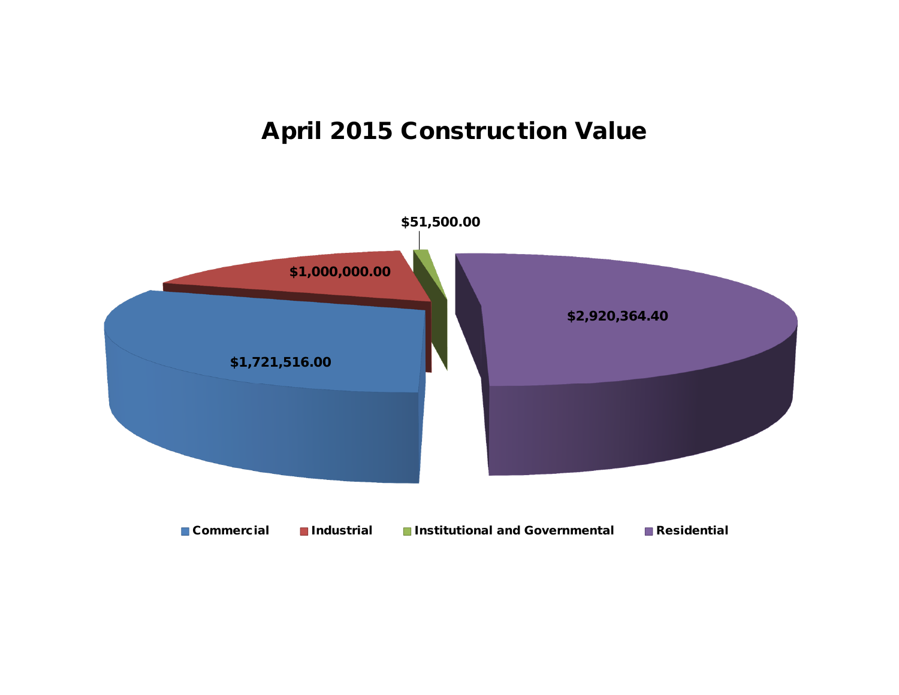## **April 2015 Construction Value**

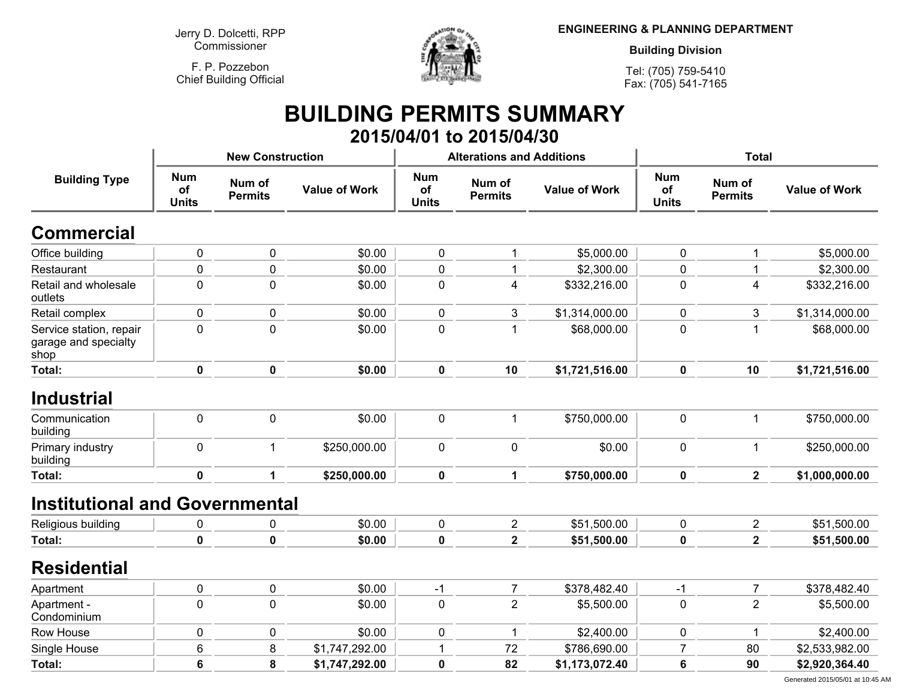**Jerry D. Dolcetti, RPPCommissioner**

**F. P. PozzebonChief Building Official**



**ENGINEERING & PLANNING DEPARTMENT**

**Building Division**

**Tel: (705) 759-5410Fax: (705) 541-7165**

## **BUILDING PERMITS SUMMARY 2015/04/01 to 2015/04/30**

|                                                         |                                  | <b>New Construction</b>  |                      |                                  | <b>Alterations and Additions</b> |                      | <b>Total</b>                     |                          |                      |
|---------------------------------------------------------|----------------------------------|--------------------------|----------------------|----------------------------------|----------------------------------|----------------------|----------------------------------|--------------------------|----------------------|
| <b>Building Type</b>                                    | <b>Num</b><br>of<br><b>Units</b> | Num of<br><b>Permits</b> | <b>Value of Work</b> | <b>Num</b><br>of<br><b>Units</b> | Num of<br><b>Permits</b>         | <b>Value of Work</b> | <b>Num</b><br>of<br><b>Units</b> | Num of<br><b>Permits</b> | <b>Value of Work</b> |
| <b>Commercial</b>                                       |                                  |                          |                      |                                  |                                  |                      |                                  |                          |                      |
| Office building                                         | $\pmb{0}$                        | $\pmb{0}$                | \$0.00               | 0                                | 1                                | \$5,000.00           | 0                                | 1                        | \$5,000.00           |
| Restaurant                                              | $\mathbf 0$                      | $\mathbf 0$              | \$0.00               | 0                                | 1                                | \$2,300.00           | 0                                | $\mathbf 1$              | \$2,300.00           |
| Retail and wholesale<br>outlets                         | $\mathbf 0$                      | $\mathbf 0$              | \$0.00               | $\mathbf 0$                      | $\overline{4}$                   | \$332,216.00         | $\mathbf 0$                      | $\overline{4}$           | \$332,216.00         |
| Retail complex                                          | $\mathbf 0$                      | $\mathbf 0$              | \$0.00               | 0                                | 3                                | \$1,314,000.00       | 0                                | 3                        | \$1,314,000.00       |
| Service station, repair<br>garage and specialty<br>shop | $\pmb{0}$                        | $\pmb{0}$                | \$0.00               | 0                                | 1                                | \$68,000.00          | 0                                | $\mathbf{1}$             | \$68,000.00          |
| Total:                                                  | $\mathbf 0$                      | $\mathbf 0$              | \$0.00               | $\mathbf 0$                      | 10                               | \$1,721,516.00       | $\mathbf 0$                      | 10                       | \$1,721,516.00       |
| <b>Industrial</b>                                       |                                  |                          |                      |                                  |                                  |                      |                                  |                          |                      |
| Communication<br>building                               | $\mathbf 0$                      | $\mathbf 0$              | \$0.00               | $\pmb{0}$                        | 1                                | \$750,000.00         | $\mathbf 0$                      | $\mathbf{1}$             | \$750,000.00         |
| Primary industry<br>building                            | $\mathbf 0$                      | $\mathbf{1}$             | \$250,000.00         | $\mathbf 0$                      | $\mathbf 0$                      | \$0.00               | 0                                | $\mathbf 1$              | \$250,000.00         |
| <b>Total:</b>                                           | $\mathbf 0$                      | 1                        | \$250,000.00         | $\mathbf 0$                      | $\mathbf{1}$                     | \$750,000.00         | $\mathbf 0$                      | $\overline{2}$           | \$1,000,000.00       |
| <b>Institutional and Governmental</b>                   |                                  |                          |                      |                                  |                                  |                      |                                  |                          |                      |
| Religious building                                      | $\pmb{0}$                        | 0                        | \$0.00               | 0                                | $\overline{2}$                   | \$51,500.00          | $\mathbf 0$                      | $\overline{2}$           | \$51,500.00          |
| <b>Total:</b>                                           | $\mathbf 0$                      | $\mathbf 0$              | \$0.00               | $\pmb{0}$                        | $\overline{\mathbf{2}}$          | \$51,500.00          | $\mathbf 0$                      | $\overline{\mathbf{2}}$  | \$51,500.00          |
| <b>Residential</b>                                      |                                  |                          |                      |                                  |                                  |                      |                                  |                          |                      |
| Apartment                                               | $\pmb{0}$                        | $\pmb{0}$                | \$0.00               | $-1$                             | $\overline{7}$                   | \$378,482.40         | $-1$                             | $\overline{7}$           | \$378,482.40         |
| Apartment -<br>Condominium                              | $\mathbf 0$                      | $\mathbf 0$              | \$0.00               | 0                                | $\overline{2}$                   | \$5,500.00           | $\mathbf 0$                      | $\overline{2}$           | \$5,500.00           |
| Row House                                               | $\mathbf 0$                      | $\mathbf 0$              | \$0.00               | 0                                | 1                                | \$2,400.00           | 0                                | $\mathbf 1$              | \$2,400.00           |
| Single House                                            | 6                                | 8                        | \$1,747,292.00       | 1                                | 72                               | \$786,690.00         | $\overline{7}$                   | 80                       | \$2,533,982.00       |
| Total:                                                  | $6\phantom{a}$                   | 8                        | \$1,747,292.00       | $\mathbf 0$                      | 82                               | \$1,173,072.40       | 6                                | 90                       | \$2,920,364.40       |

Generated 2015/05/01 at 10:45 AM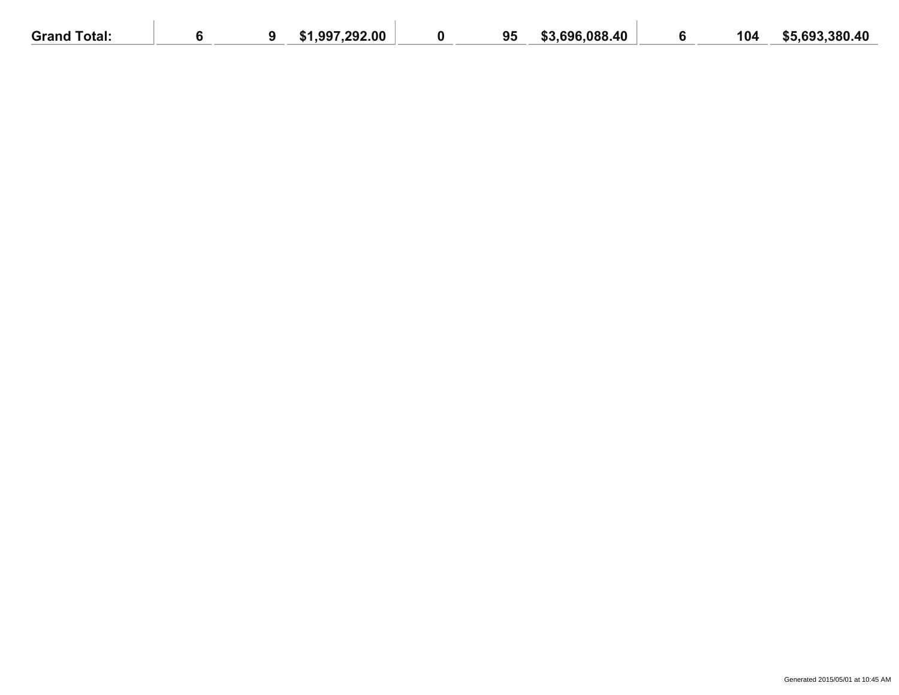| <b>Grand Total:</b> |  | 1.997.292.00<br>51 | 95 | 8.696.088.40<br>\$3 | 104 | \$5.693.380.40 |
|---------------------|--|--------------------|----|---------------------|-----|----------------|
|                     |  |                    |    |                     |     |                |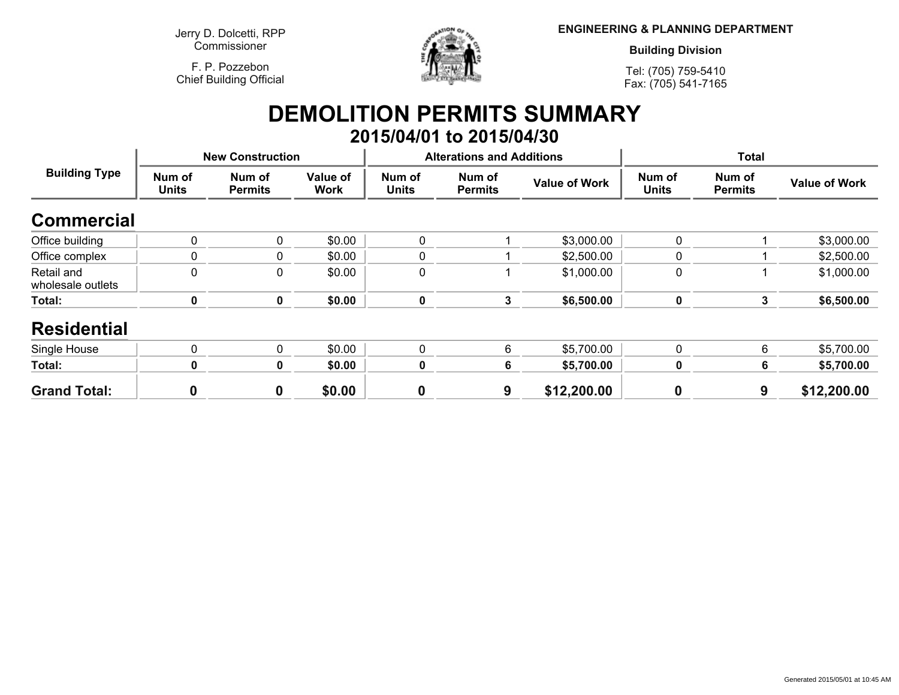**Jerry D. Dolcetti, RPPCommissioner**

**F. P. PozzebonChief Building Official**



**ENGINEERING & PLANNING DEPARTMENT**

**Building Division**

**Tel: (705) 759-5410Fax: (705) 541-7165**

## **DEMOLITION PERMITS SUMMARY 2015/04/01 to 2015/04/30**

| <b>Building Type</b>            | <b>New Construction</b> |                          |                         |                        | <b>Alterations and Additions</b> |                      | <b>Total</b>           |                          |                      |
|---------------------------------|-------------------------|--------------------------|-------------------------|------------------------|----------------------------------|----------------------|------------------------|--------------------------|----------------------|
|                                 | Num of<br><b>Units</b>  | Num of<br><b>Permits</b> | Value of<br><b>Work</b> | Num of<br><b>Units</b> | Num of<br><b>Permits</b>         | <b>Value of Work</b> | Num of<br><b>Units</b> | Num of<br><b>Permits</b> | <b>Value of Work</b> |
| <b>Commercial</b>               |                         |                          |                         |                        |                                  |                      |                        |                          |                      |
| Office building                 | 0                       | 0                        | \$0.00                  | 0                      |                                  | \$3,000.00           | $\mathbf 0$            |                          | \$3,000.00           |
| Office complex                  | 0                       | 0                        | \$0.00                  | 0                      |                                  | \$2,500.00           | 0                      |                          | \$2,500.00           |
| Retail and<br>wholesale outlets | 0                       | 0                        | \$0.00                  | 0                      |                                  | \$1,000.00           | 0                      |                          | \$1,000.00           |
| Total:                          | 0                       | 0                        | \$0.00                  | $\bf{0}$               | $\mathbf{3}$                     | \$6,500.00           | $\mathbf 0$            | 3                        | \$6,500.00           |
| <b>Residential</b>              |                         |                          |                         |                        |                                  |                      |                        |                          |                      |
| Single House                    | 0                       | 0                        | \$0.00                  | 0                      | 6                                | \$5,700.00           | 0                      | 6                        | \$5,700.00           |
| Total:                          | 0                       | 0                        | \$0.00                  | 0                      | 6                                | \$5,700.00           | $\mathbf 0$            |                          | \$5,700.00           |
| <b>Grand Total:</b>             | O                       | 0                        | \$0.00                  | $\boldsymbol{0}$       | 9                                | \$12,200.00          | $\boldsymbol{0}$       | 9                        | \$12,200.00          |